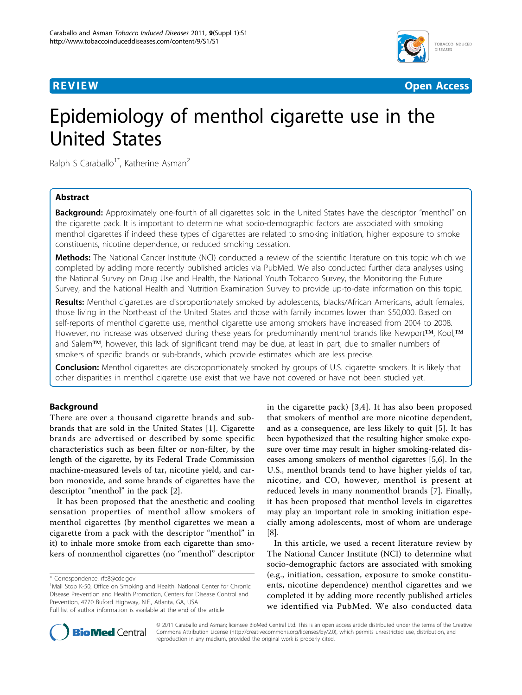



# Epidemiology of menthol cigarette use in the United States

Ralph S Caraballo<sup>1\*</sup>, Katherine Asman<sup>2</sup>

# Abstract

Background: Approximately one-fourth of all cigarettes sold in the United States have the descriptor "menthol" on the cigarette pack. It is important to determine what socio-demographic factors are associated with smoking menthol cigarettes if indeed these types of cigarettes are related to smoking initiation, higher exposure to smoke constituents, nicotine dependence, or reduced smoking cessation.

Methods: The National Cancer Institute (NCI) conducted a review of the scientific literature on this topic which we completed by adding more recently published articles via PubMed. We also conducted further data analyses using the National Survey on Drug Use and Health, the National Youth Tobacco Survey, the Monitoring the Future Survey, and the National Health and Nutrition Examination Survey to provide up-to-date information on this topic.

Results: Menthol cigarettes are disproportionately smoked by adolescents, blacks/African Americans, adult females, those living in the Northeast of the United States and those with family incomes lower than \$50,000. Based on self-reports of menthol cigarette use, menthol cigarette use among smokers have increased from 2004 to 2008. However, no increase was observed during these years for predominantly menthol brands like Newport™, Kool,™ and Salem™, however, this lack of significant trend may be due, at least in part, due to smaller numbers of smokers of specific brands or sub-brands, which provide estimates which are less precise.

**Conclusion:** Menthol cigarettes are disproportionately smoked by groups of U.S. cigarette smokers. It is likely that other disparities in menthol cigarette use exist that we have not covered or have not been studied yet.

# Background

There are over a thousand cigarette brands and subbrands that are sold in the United States [[1](#page-13-0)]. Cigarette brands are advertised or described by some specific characteristics such as been filter or non-filter, by the length of the cigarette, by its Federal Trade Commission machine-measured levels of tar, nicotine yield, and carbon monoxide, and some brands of cigarettes have the descriptor "menthol" in the pack [[2\]](#page-13-0).

It has been proposed that the anesthetic and cooling sensation properties of menthol allow smokers of menthol cigarettes (by menthol cigarettes we mean a cigarette from a pack with the descriptor "menthol" in it) to inhale more smoke from each cigarette than smokers of nonmenthol cigarettes (no "menthol" descriptor

in the cigarette pack) [[3,4](#page-13-0)]. It has also been proposed that smokers of menthol are more nicotine dependent, and as a consequence, are less likely to quit [\[5](#page-13-0)]. It has been hypothesized that the resulting higher smoke exposure over time may result in higher smoking-related diseases among smokers of menthol cigarettes [[5,6\]](#page-13-0). In the U.S., menthol brands tend to have higher yields of tar, nicotine, and CO, however, menthol is present at reduced levels in many nonmenthol brands [[7\]](#page-13-0). Finally, it has been proposed that menthol levels in cigarettes may play an important role in smoking initiation especially among adolescents, most of whom are underage [[8\]](#page-13-0).

In this article, we used a recent literature review by The National Cancer Institute (NCI) to determine what socio-demographic factors are associated with smoking (e.g., initiation, cessation, exposure to smoke constituents, nicotine dependence) menthol cigarettes and we completed it by adding more recently published articles we identified via PubMed. We also conducted data



© 2011 Caraballo and Asman; licensee BioMed Central Ltd. This is an open access article distributed under the terms of the Creative Commons Attribution License [\(http://creativecommons.org/licenses/by/2.0](http://creativecommons.org/licenses/by/2.0)), which permits unrestricted use, distribution, and reproduction in any medium, provided the original work is properly cited.

<sup>\*</sup> Correspondence: [rfc8@cdc.gov](mailto:rfc8@cdc.gov)

<sup>&</sup>lt;sup>1</sup>Mail Stop K-50, Office on Smoking and Health, National Center for Chronic Disease Prevention and Health Promotion, Centers for Disease Control and Prevention, 4770 Buford Highway, N.E., Atlanta, GA, USA Full list of author information is available at the end of the article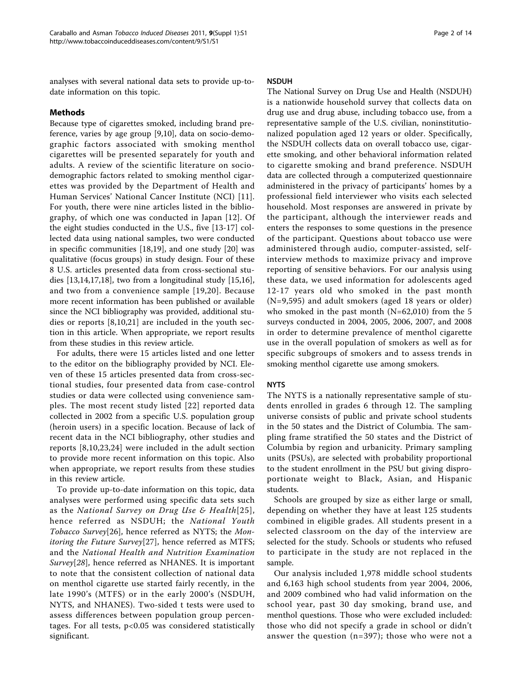analyses with several national data sets to provide up-todate information on this topic.

# Methods

Because type of cigarettes smoked, including brand preference, varies by age group [\[9,10](#page-13-0)], data on socio-demographic factors associated with smoking menthol cigarettes will be presented separately for youth and adults. A review of the scientific literature on sociodemographic factors related to smoking menthol cigarettes was provided by the Department of Health and Human Services' National Cancer Institute (NCI) [[11](#page-13-0)]. For youth, there were nine articles listed in the bibliography, of which one was conducted in Japan [\[12\]](#page-13-0). Of the eight studies conducted in the U.S., five [[13-17](#page-13-0)] collected data using national samples, two were conducted in specific communities [\[18](#page-13-0),[19](#page-13-0)], and one study [[20\]](#page-13-0) was qualitative (focus groups) in study design. Four of these 8 U.S. articles presented data from cross-sectional studies [\[13,14,17,18\]](#page-13-0), two from a longitudinal study [\[15,16](#page-13-0)], and two from a convenience sample [\[19,20\]](#page-13-0). Because more recent information has been published or available since the NCI bibliography was provided, additional studies or reports [[8,10](#page-13-0),[21\]](#page-13-0) are included in the youth section in this article. When appropriate, we report results from these studies in this review article.

For adults, there were 15 articles listed and one letter to the editor on the bibliography provided by NCI. Eleven of these 15 articles presented data from cross-sectional studies, four presented data from case-control studies or data were collected using convenience samples. The most recent study listed [[22\]](#page-13-0) reported data collected in 2002 from a specific U.S. population group (heroin users) in a specific location. Because of lack of recent data in the NCI bibliography, other studies and reports [[8,10](#page-13-0),[23,24](#page-13-0)] were included in the adult section to provide more recent information on this topic. Also when appropriate, we report results from these studies in this review article.

To provide up-to-date information on this topic, data analyses were performed using specific data sets such as the National Survey on Drug Use & Health[[25\]](#page-13-0), hence referred as NSDUH; the National Youth Tobacco Survey[[26\]](#page-13-0), hence referred as NYTS; the Monitoring the Future Survey[[27](#page-13-0)], hence referred as MTFS; and the National Health and Nutrition Examination Survey[[28](#page-13-0)], hence referred as NHANES. It is important to note that the consistent collection of national data on menthol cigarette use started fairly recently, in the late 1990's (MTFS) or in the early 2000's (NSDUH, NYTS, and NHANES). Two-sided t tests were used to assess differences between population group percentages. For all tests, p<0.05 was considered statistically significant.

#### NSDUH

The National Survey on Drug Use and Health (NSDUH) is a nationwide household survey that collects data on drug use and drug abuse, including tobacco use, from a representative sample of the U.S. civilian, noninstitutionalized population aged 12 years or older. Specifically, the NSDUH collects data on overall tobacco use, cigarette smoking, and other behavioral information related to cigarette smoking and brand preference. NSDUH data are collected through a computerized questionnaire administered in the privacy of participants' homes by a professional field interviewer who visits each selected household. Most responses are answered in private by the participant, although the interviewer reads and enters the responses to some questions in the presence of the participant. Questions about tobacco use were administered through audio, computer-assisted, selfinterview methods to maximize privacy and improve reporting of sensitive behaviors. For our analysis using these data, we used information for adolescents aged 12-17 years old who smoked in the past month (N=9,595) and adult smokers (aged 18 years or older) who smoked in the past month  $(N=62,010)$  from the 5 surveys conducted in 2004, 2005, 2006, 2007, and 2008 in order to determine prevalence of menthol cigarette use in the overall population of smokers as well as for specific subgroups of smokers and to assess trends in smoking menthol cigarette use among smokers.

#### NYTS

The NYTS is a nationally representative sample of students enrolled in grades 6 through 12. The sampling universe consists of public and private school students in the 50 states and the District of Columbia. The sampling frame stratified the 50 states and the District of Columbia by region and urbanicity. Primary sampling units (PSUs), are selected with probability proportional to the student enrollment in the PSU but giving disproportionate weight to Black, Asian, and Hispanic students.

Schools are grouped by size as either large or small, depending on whether they have at least 125 students combined in eligible grades. All students present in a selected classroom on the day of the interview are selected for the study. Schools or students who refused to participate in the study are not replaced in the sample.

Our analysis included 1,978 middle school students and 6,163 high school students from year 2004, 2006, and 2009 combined who had valid information on the school year, past 30 day smoking, brand use, and menthol questions. Those who were excluded included: those who did not specify a grade in school or didn't answer the question (n=397); those who were not a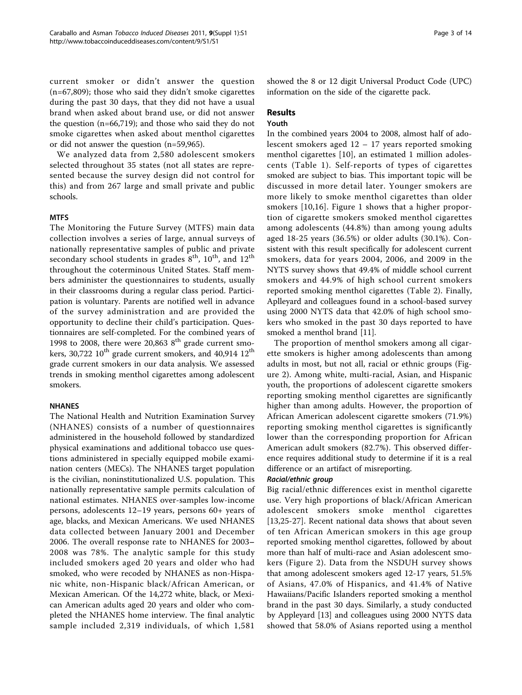current smoker or didn't answer the question (n=67,809); those who said they didn't smoke cigarettes during the past 30 days, that they did not have a usual brand when asked about brand use, or did not answer the question (n=66,719); and those who said they do not smoke cigarettes when asked about menthol cigarettes or did not answer the question (n=59,965).

We analyzed data from 2,580 adolescent smokers selected throughout 35 states (not all states are represented because the survey design did not control for this) and from 267 large and small private and public schools.

# MTFS

The Monitoring the Future Survey (MTFS) main data collection involves a series of large, annual surveys of nationally representative samples of public and private secondary school students in grades  $8<sup>th</sup>$ ,  $10<sup>th</sup>$ , and  $12<sup>th</sup>$ throughout the coterminous United States. Staff members administer the questionnaires to students, usually in their classrooms during a regular class period. Participation is voluntary. Parents are notified well in advance of the survey administration and are provided the opportunity to decline their child's participation. Questionnaires are self-completed. For the combined years of 1998 to 2008, there were 20,863  $8<sup>th</sup>$  grade current smokers, 30,722  $10^{th}$  grade current smokers, and 40,914  $12^{th}$ grade current smokers in our data analysis. We assessed trends in smoking menthol cigarettes among adolescent smokers.

#### NHANES

The National Health and Nutrition Examination Survey (NHANES) consists of a number of questionnaires administered in the household followed by standardized physical examinations and additional tobacco use questions administered in specially equipped mobile examination centers (MECs). The NHANES target population is the civilian, noninstitutionalized U.S. population. This nationally representative sample permits calculation of national estimates. NHANES over-samples low-income persons, adolescents 12–19 years, persons 60+ years of age, blacks, and Mexican Americans. We used NHANES data collected between January 2001 and December 2006. The overall response rate to NHANES for 2003– 2008 was 78%. The analytic sample for this study included smokers aged 20 years and older who had smoked, who were recoded by NHANES as non-Hispanic white, non-Hispanic black/African American, or Mexican American. Of the 14,272 white, black, or Mexican American adults aged 20 years and older who completed the NHANES home interview. The final analytic sample included 2,319 individuals, of which 1,581

showed the 8 or 12 digit Universal Product Code (UPC) information on the side of the cigarette pack.

# Results

# Youth

In the combined years 2004 to 2008, almost half of adolescent smokers aged 12 – 17 years reported smoking menthol cigarettes [[10](#page-13-0)], an estimated 1 million adolescents (Table [1\)](#page-3-0). Self-reports of types of cigarettes smoked are subject to bias. This important topic will be discussed in more detail later. Younger smokers are more likely to smoke menthol cigarettes than older smokers [[10,16](#page-13-0)]. Figure [1](#page-3-0) shows that a higher proportion of cigarette smokers smoked menthol cigarettes among adolescents (44.8%) than among young adults aged 18-25 years (36.5%) or older adults (30.1%). Consistent with this result specifically for adolescent current smokers, data for years 2004, 2006, and 2009 in the NYTS survey shows that 49.4% of middle school current smokers and 44.9% of high school current smokers reported smoking menthol cigarettes (Table [2\)](#page-4-0). Finally, Aplleyard and colleagues found in a school-based survey using 2000 NYTS data that 42.0% of high school smokers who smoked in the past 30 days reported to have smoked a menthol brand [\[11](#page-13-0)].

The proportion of menthol smokers among all cigarette smokers is higher among adolescents than among adults in most, but not all, racial or ethnic groups (Figure [2\)](#page-5-0). Among white, multi-racial, Asian, and Hispanic youth, the proportions of adolescent cigarette smokers reporting smoking menthol cigarettes are significantly higher than among adults. However, the proportion of African American adolescent cigarette smokers (71.9%) reporting smoking menthol cigarettes is significantly lower than the corresponding proportion for African American adult smokers (82.7%). This observed difference requires additional study to determine if it is a real difference or an artifact of misreporting.

### Racial/ethnic group

Big racial/ethnic differences exist in menthol cigarette use. Very high proportions of black/African American adolescent smokers smoke menthol cigarettes [[13,25-27\]](#page-13-0). Recent national data shows that about seven of ten African American smokers in this age group reported smoking menthol cigarettes, followed by about more than half of multi-race and Asian adolescent smokers (Figure [2](#page-5-0)). Data from the NSDUH survey shows that among adolescent smokers aged 12-17 years, 51.5% of Asians, 47.0% of Hispanics, and 41.4% of Native Hawaiians/Pacific Islanders reported smoking a menthol brand in the past 30 days. Similarly, a study conducted by Appleyard [[13\]](#page-13-0) and colleagues using 2000 NYTS data showed that 58.0% of Asians reported using a menthol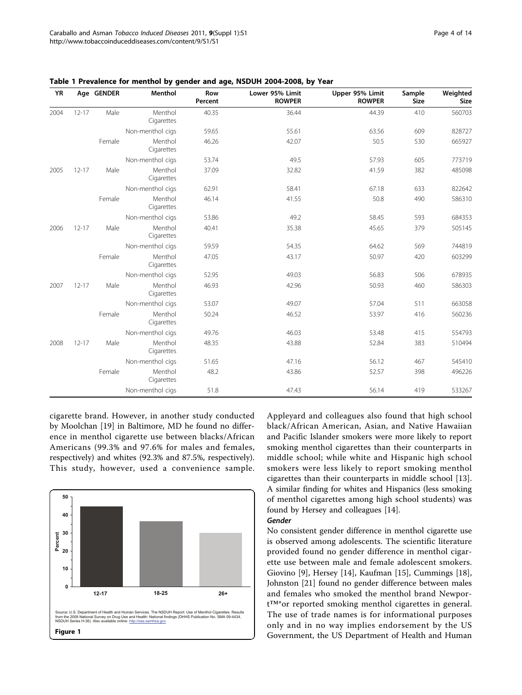| YR   |           | Age GENDER | Menthol               | Row<br>Percent | Lower 95% Limit<br><b>ROWPER</b> | Upper 95% Limit<br><b>ROWPER</b> | Sample<br><b>Size</b> | Weighted<br>Size |
|------|-----------|------------|-----------------------|----------------|----------------------------------|----------------------------------|-----------------------|------------------|
| 2004 | $12 - 17$ | Male       | Menthol<br>Cigarettes | 40.35          | 36.44                            | 44.39                            | 410                   | 560703           |
|      |           |            | Non-menthol cigs      | 59.65          | 55.61                            | 63.56                            | 609                   | 828727           |
|      |           | Female     | Menthol<br>Cigarettes | 46.26          | 42.07                            | 50.5                             | 530                   | 665927           |
|      |           |            | Non-menthol cigs      | 53.74          | 49.5                             | 57.93                            | 605                   | 773719           |
| 2005 | $12 - 17$ | Male       | Menthol<br>Cigarettes | 37.09          | 32.82                            | 41.59                            | 382                   | 485098           |
|      |           |            | Non-menthol cigs      | 62.91          | 58.41                            | 67.18                            | 633                   | 822642           |
|      |           | Female     | Menthol<br>Cigarettes | 46.14          | 41.55                            | 50.8                             | 490                   | 586310           |
|      |           |            | Non-menthol cigs      | 53.86          | 49.2                             | 58.45                            | 593                   | 684353           |
| 2006 | $12 - 17$ | Male       | Menthol<br>Cigarettes | 40.41          | 35.38                            | 45.65                            | 379                   | 505145           |
|      |           |            | Non-menthol cigs      | 59.59          | 54.35                            | 64.62                            | 569                   | 744819           |
|      |           | Female     | Menthol<br>Cigarettes | 47.05          | 43.17                            | 50.97                            | 420                   | 603299           |
|      |           |            | Non-menthol cigs      | 52.95          | 49.03                            | 56.83                            | 506                   | 678935           |
| 2007 | $12 - 17$ | Male       | Menthol<br>Cigarettes | 46.93          | 42.96                            | 50.93                            | 460                   | 586303           |
|      |           |            | Non-menthol cigs      | 53.07          | 49.07                            | 57.04                            | 511                   | 663058           |
|      |           | Female     | Menthol<br>Cigarettes | 50.24          | 46.52                            | 53.97                            | 416                   | 560236           |
|      |           |            | Non-menthol cigs      | 49.76          | 46.03                            | 53.48                            | 415                   | 554793           |
| 2008 | $12 - 17$ | Male       | Menthol<br>Cigarettes | 48.35          | 43.88                            | 52.84                            | 383                   | 510494           |
|      |           |            | Non-menthol cigs      | 51.65          | 47.16                            | 56.12                            | 467                   | 545410           |
|      |           | Female     | Menthol<br>Cigarettes | 48.2           | 43.86                            | 52.57                            | 398                   | 496226           |
|      |           |            | Non-menthol cigs      | 51.8           | 47.43                            | 56.14                            | 419                   | 533267           |

<span id="page-3-0"></span>Table 1 Prevalence for menthol by gender and age, NSDUH 2004-2008, by Year

cigarette brand. However, in another study conducted by Moolchan [[19\]](#page-13-0) in Baltimore, MD he found no difference in menthol cigarette use between blacks/African Americans (99.3% and 97.6% for males and females, respectively) and whites (92.3% and 87.5%, respectively). This study, however, used a convenience sample.



Appleyard and colleagues also found that high school black/African American, Asian, and Native Hawaiian and Pacific Islander smokers were more likely to report smoking menthol cigarettes than their counterparts in middle school; while white and Hispanic high school smokers were less likely to report smoking menthol cigarettes than their counterparts in middle school [\[13](#page-13-0)]. A similar finding for whites and Hispanics (less smoking of menthol cigarettes among high school students) was found by Hersey and colleagues [[14\]](#page-13-0).

# Gender

No consistent gender difference in menthol cigarette use is observed among adolescents. The scientific literature provided found no gender difference in menthol cigarette use between male and female adolescent smokers. Giovino [[9\]](#page-13-0), Hersey [[14\]](#page-13-0), Kaufman [[15\]](#page-13-0), Cummings [\[18](#page-13-0)], Johnston [\[21](#page-13-0)] found no gender difference between males and females who smoked the menthol brand Newport™\*or reported smoking menthol cigarettes in general. The use of trade names is for informational purposes only and in no way implies endorsement by the US Government, the US Department of Health and Human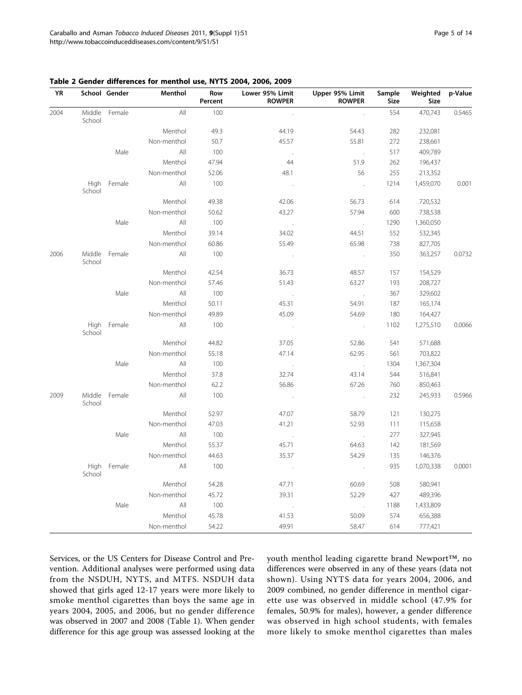<span id="page-4-0"></span>

| YR   |                  | School Gender | Menthol     | Row<br>Percent | Lower 95% Limit<br><b>ROWPER</b> | Upper 95% Limit<br><b>ROWPER</b> | Sample<br><b>Size</b> | Weighted<br>Size | p-Value |
|------|------------------|---------------|-------------|----------------|----------------------------------|----------------------------------|-----------------------|------------------|---------|
| 2004 | School           | Middle Female | All         | 100            |                                  |                                  | 554                   | 470,743          | 0.5465  |
|      |                  |               | Menthol     | 49.3           | 44.19                            | 54.43                            | 282                   | 232,081          |         |
|      |                  |               | Non-menthol | 50.7           | 45.57                            | 55.81                            | 272                   | 238,661          |         |
|      |                  | Male          | All         | 100            | $\sim$ $\sim$                    | $\sim$ $\sim$                    | 517                   | 409,789          |         |
|      |                  |               | Menthol     | 47.94          | 44                               | 51.9                             | 262                   | 196,437          |         |
|      |                  |               | Non-menthol | 52.06          | 48.1                             | 56                               | 255                   | 213,352          |         |
|      | School           | High Female   | All         | 100            | $\sim$ $\sim$                    | $\sim$ 10 $\pm$                  | 1214                  | 1,459,070        | 0.001   |
|      |                  |               | Menthol     | 49.38          | 42.06                            | 56.73                            | 614                   | 720,532          |         |
|      |                  |               | Non-menthol | 50.62          | 43.27                            | 57.94                            | 600                   | 738,538          |         |
|      |                  | Male          | <b>All</b>  | 100            | $\sim$ $\sim$                    | $\sim$ $\sim$                    | 1290                  | 1,360,050        |         |
|      |                  |               | Menthol     | 39.14          | 34.02                            | 44.51                            | 552                   | 532,345          |         |
|      |                  |               | Non-menthol | 60.86          | 55.49                            | 65.98                            | 738                   | 827,705          |         |
| 2006 | School           | Middle Female | All         | 100            |                                  | $\sim$ $\sim$                    | 350                   | 363,257          | 0.0732  |
|      |                  |               | Menthol     | 42.54          | 36.73                            | 48.57                            | 157                   | 154,529          |         |
|      |                  |               | Non-menthol | 57.46          | 51.43                            | 63.27                            | 193                   | 208,727          |         |
|      |                  | Male          | <b>All</b>  | 100            | $\sim 10$                        | $\sim$ $\sim$                    | 367                   | 329,602          |         |
|      |                  |               | Menthol     | 50.11          | 45.31                            | 54.91                            | 187                   | 165,174          |         |
|      |                  |               | Non-menthol | 49.89          | 45.09                            | 54.69                            | 180                   | 164,427          |         |
|      | High<br>School   | Female        | <b>All</b>  | 100            | $\sim 100$                       | $\sim 10$                        | 1102                  | 1,275,510        | 0.0066  |
|      |                  |               | Menthol     | 44.82          | 37.05                            | 52.86                            | 541                   | 571,688          |         |
|      |                  |               | Non-menthol | 55.18          | 47.14                            | 62.95                            | 561                   | 703,822          |         |
|      |                  | Male          | <b>All</b>  | 100            | $\sim$ 10 $\pm$                  | $\sim$ $\sim$                    | 1304                  | 1,367,304        |         |
|      |                  |               | Menthol     | 37.8           | 32.74                            | 43.14                            | 544                   | 516,841          |         |
|      |                  |               | Non-menthol | 62.2           | 56.86                            | 67.26                            | 760                   | 850,463          |         |
| 2009 | Middle<br>School | Female        | <b>All</b>  | 100            |                                  | $\sim$ $\sim$                    | 232                   | 245,933          | 0.5966  |
|      |                  |               | Menthol     | 52.97          | 47.07                            | 58.79                            | 121                   | 130,275          |         |
|      |                  |               | Non-menthol | 47.03          | 41.21                            | 52.93                            | 111                   | 115,658          |         |
|      |                  | Male          | All         | 100            | $\sim 100$                       | $\sim$ $\sim$                    | 277                   | 327,945          |         |
|      |                  |               | Menthol     | 55.37          | 45.71                            | 64.63                            | 142                   | 181,569          |         |
|      |                  |               | Non-menthol | 44.63          | 35.37                            | 54.29                            | 135                   | 146,376          |         |
|      | School           | High Female   | <b>All</b>  | 100            | $\sim 10$                        | $\sim$ $-$                       | 935                   | 1,070,338        | 0.0001  |
|      |                  |               | Menthol     | 54.28          | 47.71                            | 60.69                            | 508                   | 580,941          |         |
|      |                  |               | Non-menthol | 45.72          | 39.31                            | 52.29                            | 427                   | 489,396          |         |
|      |                  | Male          | All         | 100            |                                  | $\sim$ $\sim$                    | 1188                  | 1,433,809        |         |
|      |                  |               | Menthol     | 45.78          | 41.53                            | 50.09                            | 574                   | 656,388          |         |
|      |                  |               | Non-menthol | 54.22          | 49.91                            | 58.47                            | 614                   | 777,421          |         |

Services, or the US Centers for Disease Control and Prevention. Additional analyses were performed using data from the NSDUH, NYTS, and MTFS. NSDUH data showed that girls aged 12-17 years were more likely to smoke menthol cigarettes than boys the same age in years 2004, 2005, and 2006, but no gender difference was observed in 2007 and 2008 (Table [1](#page-3-0)). When gender difference for this age group was assessed looking at the youth menthol leading cigarette brand Newport™, no differences were observed in any of these years (data not shown). Using NYTS data for years 2004, 2006, and 2009 combined, no gender difference in menthol cigarette use was observed in middle school (47.9% for females, 50.9% for males), however, a gender difference was observed in high school students, with females more likely to smoke menthol cigarettes than males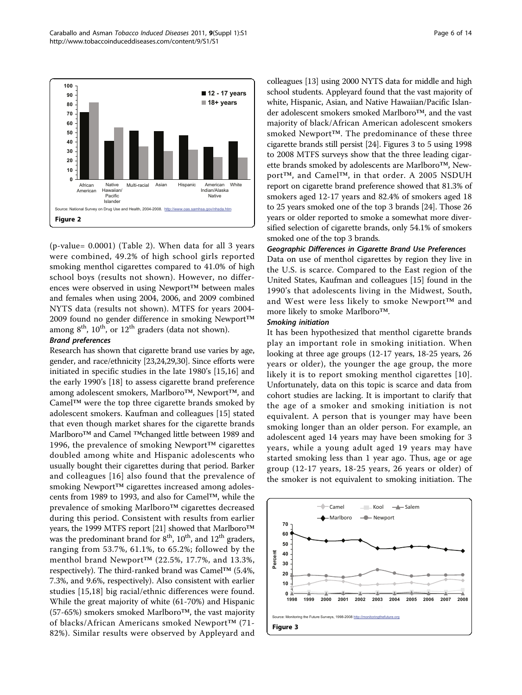

<span id="page-5-0"></span>

(p-value= 0.0001) (Table [2](#page-4-0)). When data for all 3 years were combined, 49.2% of high school girls reported smoking menthol cigarettes compared to 41.0% of high school boys (results not shown). However, no differences were observed in using Newport™ between males and females when using 2004, 2006, and 2009 combined NYTS data (results not shown). MTFS for years 2004- 2009 found no gender difference in smoking Newport™ among  $8^{th}$ ,  $10^{th}$ , or  $12^{th}$  graders (data not shown).

### Brand preferences

Research has shown that cigarette brand use varies by age, gender, and race/ethnicity [[23,24,29,30](#page-13-0)]. Since efforts were initiated in specific studies in the late 1980's [[15,16](#page-13-0)] and the early 1990's [\[18](#page-13-0)] to assess cigarette brand preference among adolescent smokers, Marlboro™, Newport™, and Camel™ were the top three cigarette brands smoked by adolescent smokers. Kaufman and colleagues [[15\]](#page-13-0) stated that even though market shares for the cigarette brands Marlboro™ and Camel ™changed little between 1989 and 1996, the prevalence of smoking Newport™ cigarettes doubled among white and Hispanic adolescents who usually bought their cigarettes during that period. Barker and colleagues [[16](#page-13-0)] also found that the prevalence of smoking Newport™ cigarettes increased among adolescents from 1989 to 1993, and also for Camel™, while the prevalence of smoking Marlboro™ cigarettes decreased during this period. Consistent with results from earlier years, the 1999 MTFS report [\[21](#page-13-0)] showed that Marlboro™ was the predominant brand for  $8<sup>th</sup>$ ,  $10<sup>th</sup>$ , and  $12<sup>th</sup>$  graders, ranging from 53.7%, 61.1%, to 65.2%; followed by the menthol brand Newport™ (22.5%, 17.7%, and 13.3%, respectively). The third-ranked brand was Camel™ (5.4%, 7.3%, and 9.6%, respectively). Also consistent with earlier studies [\[15](#page-13-0),[18\]](#page-13-0) big racial/ethnic differences were found. While the great majority of white (61-70%) and Hispanic (57-65%) smokers smoked Marlboro™, the vast majority of blacks/African Americans smoked Newport™ (71- 82%). Similar results were observed by Appleyard and colleagues [\[13\]](#page-13-0) using 2000 NYTS data for middle and high school students. Appleyard found that the vast majority of white, Hispanic, Asian, and Native Hawaiian/Pacific Islander adolescent smokers smoked Marlboro™, and the vast majority of black/African American adolescent smokers smoked Newport™. The predominance of these three cigarette brands still persist [\[24\]](#page-13-0). Figures 3 to [5](#page-6-0) using 1998 to 2008 MTFS surveys show that the three leading cigarette brands smoked by adolescents are Marlboro™, Newport™, and Camel™, in that order. A 2005 NSDUH report on cigarette brand preference showed that 81.3% of smokers aged 12-17 years and 82.4% of smokers aged 18 to 25 years smoked one of the top 3 brands [\[24\]](#page-13-0). Those 26 years or older reported to smoke a somewhat more diversified selection of cigarette brands, only 54.1% of smokers smoked one of the top 3 brands.

#### Geographic Differences in Cigarette Brand Use Preferences

Data on use of menthol cigarettes by region they live in the U.S. is scarce. Compared to the East region of the United States, Kaufman and colleagues [\[15](#page-13-0)] found in the 1990's that adolescents living in the Midwest, South, and West were less likely to smoke Newport™ and more likely to smoke Marlboro™.

#### Smoking initiation

It has been hypothesized that menthol cigarette brands play an important role in smoking initiation. When looking at three age groups (12-17 years, 18-25 years, 26 years or older), the younger the age group, the more likely it is to report smoking menthol cigarettes [[10](#page-13-0)]. Unfortunately, data on this topic is scarce and data from cohort studies are lacking. It is important to clarify that the age of a smoker and smoking initiation is not equivalent. A person that is younger may have been smoking longer than an older person. For example, an adolescent aged 14 years may have been smoking for 3 years, while a young adult aged 19 years may have started smoking less than 1 year ago. Thus, age or age group (12-17 years, 18-25 years, 26 years or older) of the smoker is not equivalent to smoking initiation. The

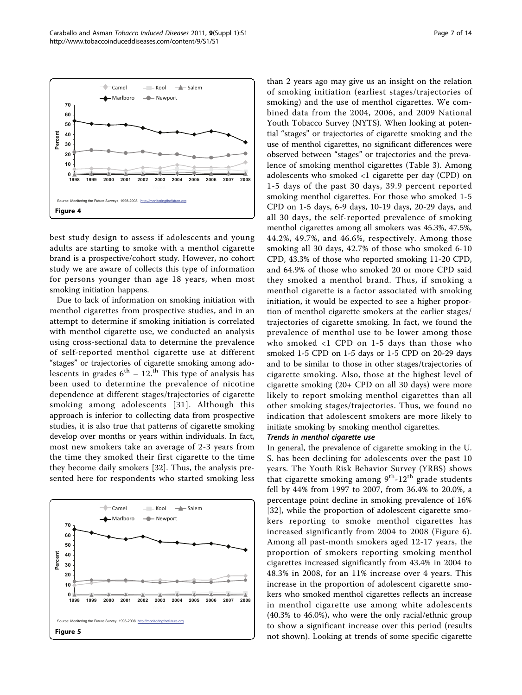<span id="page-6-0"></span>

best study design to assess if adolescents and young adults are starting to smoke with a menthol cigarette brand is a prospective/cohort study. However, no cohort study we are aware of collects this type of information for persons younger than age 18 years, when most smoking initiation happens.

Due to lack of information on smoking initiation with menthol cigarettes from prospective studies, and in an attempt to determine if smoking initiation is correlated with menthol cigarette use, we conducted an analysis using cross-sectional data to determine the prevalence of self-reported menthol cigarette use at different "stages" or trajectories of cigarette smoking among adolescents in grades  $6^{th}$  – 12.<sup>th</sup> This type of analysis has been used to determine the prevalence of nicotine dependence at different stages/trajectories of cigarette smoking among adolescents [[31\]](#page-13-0). Although this approach is inferior to collecting data from prospective studies, it is also true that patterns of cigarette smoking develop over months or years within individuals. In fact, most new smokers take an average of 2-3 years from the time they smoked their first cigarette to the time they become daily smokers [\[32](#page-13-0)]. Thus, the analysis presented here for respondents who started smoking less



than 2 years ago may give us an insight on the relation of smoking initiation (earliest stages/trajectories of smoking) and the use of menthol cigarettes. We combined data from the 2004, 2006, and 2009 National Youth Tobacco Survey (NYTS). When looking at potential "stages" or trajectories of cigarette smoking and the use of menthol cigarettes, no significant differences were observed between "stages" or trajectories and the prevalence of smoking menthol cigarettes (Table [3\)](#page-7-0). Among adolescents who smoked <1 cigarette per day (CPD) on 1-5 days of the past 30 days, 39.9 percent reported smoking menthol cigarettes. For those who smoked 1-5 CPD on 1-5 days, 6-9 days, 10-19 days, 20-29 days, and all 30 days, the self-reported prevalence of smoking menthol cigarettes among all smokers was 45.3%, 47.5%, 44.2%, 49.7%, and 46.6%, respectively. Among those smoking all 30 days, 42.7% of those who smoked 6-10 CPD, 43.3% of those who reported smoking 11-20 CPD, and 64.9% of those who smoked 20 or more CPD said they smoked a menthol brand. Thus, if smoking a menthol cigarette is a factor associated with smoking initiation, it would be expected to see a higher proportion of menthol cigarette smokers at the earlier stages/ trajectories of cigarette smoking. In fact, we found the prevalence of menthol use to be lower among those who smoked <1 CPD on 1-5 days than those who smoked 1-5 CPD on 1-5 days or 1-5 CPD on 20-29 days and to be similar to those in other stages/trajectories of cigarette smoking. Also, those at the highest level of cigarette smoking (20+ CPD on all 30 days) were more likely to report smoking menthol cigarettes than all other smoking stages/trajectories. Thus, we found no indication that adolescent smokers are more likely to initiate smoking by smoking menthol cigarettes.

# Trends in menthol cigarette use

In general, the prevalence of cigarette smoking in the U. S. has been declining for adolescents over the past 10 years. The Youth Risk Behavior Survey (YRBS) shows that cigarette smoking among  $9^{th}$ -12<sup>th</sup> grade students fell by 44% from 1997 to 2007, from 36.4% to 20.0%, a percentage point decline in smoking prevalence of 16% [[32](#page-13-0)], while the proportion of adolescent cigarette smokers reporting to smoke menthol cigarettes has increased significantly from 2004 to 2008 (Figure [6\)](#page-7-0). Among all past-month smokers aged 12-17 years, the proportion of smokers reporting smoking menthol cigarettes increased significantly from 43.4% in 2004 to 48.3% in 2008, for an 11% increase over 4 years. This increase in the proportion of adolescent cigarette smokers who smoked menthol cigarettes reflects an increase in menthol cigarette use among white adolescents (40.3% to 46.0%), who were the only racial/ethnic group to show a significant increase over this period (results not shown). Looking at trends of some specific cigarette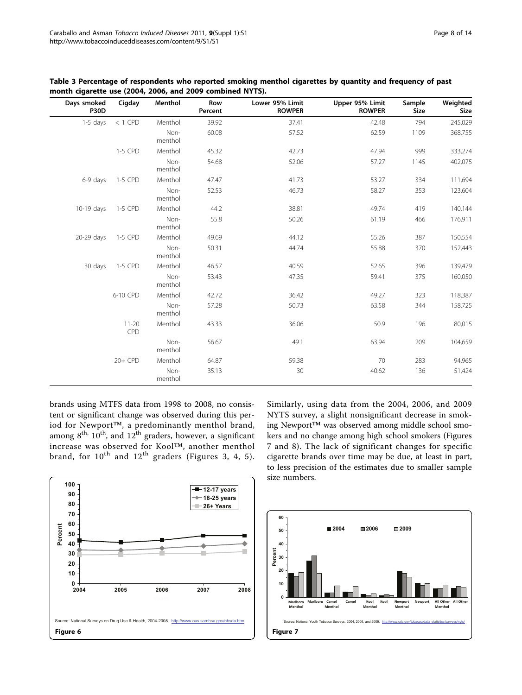| Days smoked<br><b>P30D</b> | Cigday           | Menthol         | Row<br>Percent | Lower 95% Limit<br><b>ROWPER</b> | Upper 95% Limit<br><b>ROWPER</b> | Sample<br>Size | Weighted<br>Size |
|----------------------------|------------------|-----------------|----------------|----------------------------------|----------------------------------|----------------|------------------|
| $1-5$ days                 | $<$ 1 CPD        | Menthol         | 39.92          | 37.41                            | 42.48                            | 794            | 245,029          |
|                            |                  | Non-<br>menthol | 60.08          | 57.52                            | 62.59                            | 1109           | 368,755          |
|                            | 1-5 CPD          | Menthol         | 45.32          | 42.73                            | 47.94                            | 999            | 333,274          |
|                            |                  | Non-<br>menthol | 54.68          | 52.06                            | 57.27                            | 1145           | 402,075          |
| 6-9 days                   | 1-5 CPD          | Menthol         | 47.47          | 41.73                            | 53.27                            | 334            | 111,694          |
|                            |                  | Non-<br>menthol | 52.53          | 46.73                            | 58.27                            | 353            | 123,604          |
| 10-19 days                 | 1-5 CPD          | Menthol         | 44.2           | 38.81                            | 49.74                            | 419            | 140,144          |
|                            |                  | Non-<br>menthol | 55.8           | 50.26                            | 61.19                            | 466            | 176,911          |
| 20-29 days                 | 1-5 CPD          | Menthol         | 49.69          | 44.12                            | 55.26                            | 387            | 150,554          |
|                            |                  | Non-<br>menthol | 50.31          | 44.74                            | 55.88                            | 370            | 152,443          |
| 30 days                    | 1-5 CPD          | Menthol         | 46.57          | 40.59                            | 52.65                            | 396            | 139,479          |
|                            |                  | Non-<br>menthol | 53.43          | 47.35                            | 59.41                            | 375            | 160,050          |
|                            | 6-10 CPD         | Menthol         | 42.72          | 36.42                            | 49.27                            | 323            | 118,387          |
|                            |                  | Non-<br>menthol | 57.28          | 50.73                            | 63.58                            | 344            | 158,725          |
|                            | $11 - 20$<br>CPD | Menthol         | 43.33          | 36.06                            | 50.9                             | 196            | 80,015           |
|                            |                  | Non-<br>menthol | 56.67          | 49.1                             | 63.94                            | 209            | 104,659          |
|                            | 20+ CPD          | Menthol         | 64.87          | 59.38                            | 70                               | 283            | 94,965           |
|                            |                  | Non-<br>menthol | 35.13          | 30                               | 40.62                            | 136            | 51,424           |

<span id="page-7-0"></span>Table 3 Percentage of respondents who reported smoking menthol cigarettes by quantity and frequency of past month cigarette use (2004, 2006, and 2009 combined NYTS).

brands using MTFS data from 1998 to 2008, no consistent or significant change was observed during this period for Newport™, a predominantly menthol brand, among  $8^{th}$ ,  $10^{th}$ , and  $12^{th}$  graders, however, a significant increase was observed for Kool™, another menthol brand, for  $10^{th}$  and  $12^{th}$  graders (Figures [3](#page-5-0), [4, 5\)](#page-6-0). Similarly, using data from the 2004, 2006, and 2009 NYTS survey, a slight nonsignificant decrease in smoking Newport™ was observed among middle school smokers and no change among high school smokers (Figures 7 and [8](#page-8-0)). The lack of significant changes for specific cigarette brands over time may be due, at least in part, to less precision of the estimates due to smaller sample size numbers.



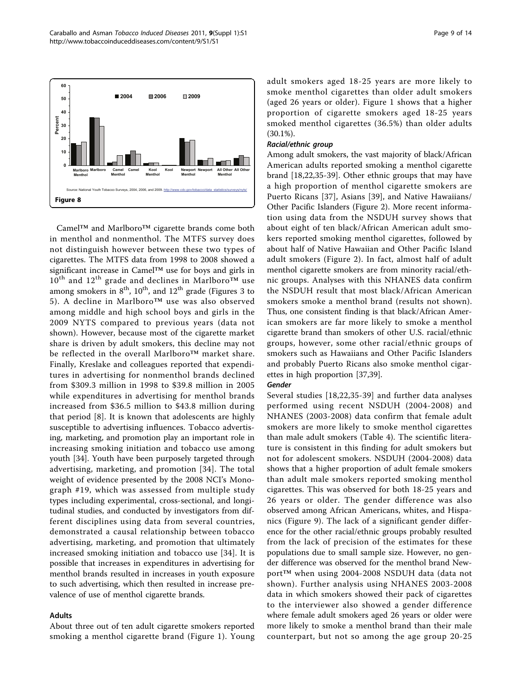<span id="page-8-0"></span>

Camel™ and Marlboro™ cigarette brands come both in menthol and nonmenthol. The MTFS survey does not distinguish however between these two types of cigarettes. The MTFS data from 1998 to 2008 showed a significant increase in Camel™ use for boys and girls in  $10^{th}$  and  $12^{th}$  grade and declines in Marlboro<sup>TM</sup> use among smokers in  $8<sup>th</sup>$ ,  $10<sup>th</sup>$ , and  $12<sup>th</sup>$  grade (Figures [3](#page-5-0) to [5](#page-6-0)). A decline in Marlboro™ use was also observed among middle and high school boys and girls in the 2009 NYTS compared to previous years (data not shown). However, because most of the cigarette market share is driven by adult smokers, this decline may not be reflected in the overall Marlboro™ market share. Finally, Kreslake and colleagues reported that expenditures in advertising for nonmenthol brands declined from \$309.3 million in 1998 to \$39.8 million in 2005 while expenditures in advertising for menthol brands increased from \$36.5 million to \$43.8 million during that period [[8\]](#page-13-0). It is known that adolescents are highly susceptible to advertising influences. Tobacco advertising, marketing, and promotion play an important role in increasing smoking initiation and tobacco use among youth [[34](#page-13-0)]. Youth have been purposely targeted through advertising, marketing, and promotion [[34](#page-13-0)]. The total weight of evidence presented by the 2008 NCI's Monograph #19, which was assessed from multiple study types including experimental, cross-sectional, and longitudinal studies, and conducted by investigators from different disciplines using data from several countries, demonstrated a causal relationship between tobacco advertising, marketing, and promotion that ultimately increased smoking initiation and tobacco use [[34](#page-13-0)]. It is possible that increases in expenditures in advertising for menthol brands resulted in increases in youth exposure to such advertising, which then resulted in increase prevalence of use of menthol cigarette brands.

#### Adults

About three out of ten adult cigarette smokers reported smoking a menthol cigarette brand (Figure [1](#page-3-0)). Young adult smokers aged 18-25 years are more likely to smoke menthol cigarettes than older adult smokers (aged 26 years or older). Figure [1](#page-3-0) shows that a higher proportion of cigarette smokers aged 18-25 years smoked menthol cigarettes (36.5%) than older adults (30.1%).

# Racial/ethnic group

Among adult smokers, the vast majority of black/African American adults reported smoking a menthol cigarette brand [\[18,22](#page-13-0),[35](#page-13-0)-[39\]](#page-13-0). Other ethnic groups that may have a high proportion of menthol cigarette smokers are Puerto Ricans [[37](#page-13-0)], Asians [\[39\]](#page-13-0), and Native Hawaiians/ Other Pacific Islanders (Figure [2\)](#page-5-0). More recent information using data from the NSDUH survey shows that about eight of ten black/African American adult smokers reported smoking menthol cigarettes, followed by about half of Native Hawaiian and Other Pacific Island adult smokers (Figure [2\)](#page-5-0). In fact, almost half of adult menthol cigarette smokers are from minority racial/ethnic groups. Analyses with this NHANES data confirm the NSDUH result that most black/African American smokers smoke a menthol brand (results not shown). Thus, one consistent finding is that black/African American smokers are far more likely to smoke a menthol cigarette brand than smokers of other U.S. racial/ethnic groups, however, some other racial/ethnic groups of smokers such as Hawaiians and Other Pacific Islanders and probably Puerto Ricans also smoke menthol cigarettes in high proportion [\[37,39](#page-13-0)].

#### Gender

Several studies [[18,22](#page-13-0),[35-39\]](#page-13-0) and further data analyses performed using recent NSDUH (2004-2008) and NHANES (2003-2008) data confirm that female adult smokers are more likely to smoke menthol cigarettes than male adult smokers (Table [4\)](#page-9-0). The scientific literature is consistent in this finding for adult smokers but not for adolescent smokers. NSDUH (2004-2008) data shows that a higher proportion of adult female smokers than adult male smokers reported smoking menthol cigarettes. This was observed for both 18-25 years and 26 years or older. The gender difference was also observed among African Americans, whites, and Hispanics (Figure [9\)](#page-9-0). The lack of a significant gender difference for the other racial/ethnic groups probably resulted from the lack of precision of the estimates for these populations due to small sample size. However, no gender difference was observed for the menthol brand Newport™ when using 2004-2008 NSDUH data (data not shown). Further analysis using NHANES 2003-2008 data in which smokers showed their pack of cigarettes to the interviewer also showed a gender difference where female adult smokers aged 26 years or older were more likely to smoke a menthol brand than their male counterpart, but not so among the age group 20-25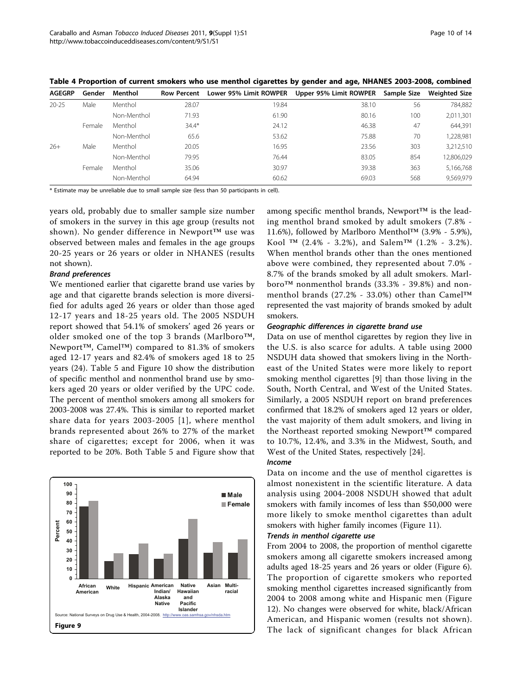| <b>AGEGRP</b> | Gender | Menthol     | <b>Row Percent</b> | Lower 95% Limit ROWPER | Upper 95% Limit ROWPER | Sample Size | <b>Weighted Size</b> |
|---------------|--------|-------------|--------------------|------------------------|------------------------|-------------|----------------------|
| $20 - 25$     | Male   | Menthol     | 28.07              | 19.84                  | 38.10                  | 56          | 784.882              |
|               |        | Non-Menthol | 71.93              | 61.90                  | 80.16                  | 100         | 2,011,301            |
|               | Female | Menthol     | $34.4*$            | 24.12                  | 46.38                  | 47          | 644.391              |
|               |        | Non-Menthol | 65.6               | 53.62                  | 75.88                  | 70          | 1,228,981            |
| $26+$         | Male   | Menthol     | 20.05              | 16.95                  | 23.56                  | 303         | 3,212,510            |
|               |        | Non-Menthol | 79.95              | 76.44                  | 83.05                  | 854         | 12,806,029           |
|               | Female | Menthol     | 35.06              | 30.97                  | 39.38                  | 363         | 5,166,768            |
|               |        | Non-Menthol | 64.94              | 60.62                  | 69.03                  | 568         | 9.569.979            |

<span id="page-9-0"></span>Table 4 Proportion of current smokers who use menthol cigarettes by gender and age, NHANES 2003-2008, combined

\* Estimate may be unreliable due to small sample size (less than 50 participants in cell).

years old, probably due to smaller sample size number of smokers in the survey in this age group (results not shown). No gender difference in Newport™ use was observed between males and females in the age groups 20-25 years or 26 years or older in NHANES (results not shown).

#### Brand preferences

We mentioned earlier that cigarette brand use varies by age and that cigarette brands selection is more diversified for adults aged 26 years or older than those aged 12-17 years and 18-25 years old. The 2005 NSDUH report showed that 54.1% of smokers' aged 26 years or older smoked one of the top 3 brands (Marlboro™, Newport™, Camel™) compared to 81.3% of smokers aged 12-17 years and 82.4% of smokers aged 18 to 25 years (24). Table [5](#page-10-0) and Figure [10](#page-10-0) show the distribution of specific menthol and nonmenthol brand use by smokers aged 20 years or older verified by the UPC code. The percent of menthol smokers among all smokers for 2003-2008 was 27.4%. This is similar to reported market share data for years 2003-2005 [[1](#page-13-0)], where menthol brands represented about 26% to 27% of the market share of cigarettes; except for 2006, when it was reported to be 20%. Both Table [5](#page-10-0) and Figure show that



among specific menthol brands, Newport™ is the leading menthol brand smoked by adult smokers (7.8% - 11.6%), followed by Marlboro Menthol™ (3.9% - 5.9%), Kool ™  $(2.4\% - 3.2\%)$ , and Salem<sup>TM</sup>  $(1.2\% - 3.2\%)$ . When menthol brands other than the ones mentioned above were combined, they represented about 7.0% - 8.7% of the brands smoked by all adult smokers. Marlboro™ nonmenthol brands (33.3% - 39.8%) and nonmenthol brands (27.2% - 33.0%) other than Camel™ represented the vast majority of brands smoked by adult smokers.

#### Geographic differences in cigarette brand use

Data on use of menthol cigarettes by region they live in the U.S. is also scarce for adults. A table using 2000 NSDUH data showed that smokers living in the Northeast of the United States were more likely to report smoking menthol cigarettes [[9](#page-13-0)] than those living in the South, North Central, and West of the United States. Similarly, a 2005 NSDUH report on brand preferences confirmed that 18.2% of smokers aged 12 years or older, the vast majority of them adult smokers, and living in the Northeast reported smoking Newport™ compared to 10.7%, 12.4%, and 3.3% in the Midwest, South, and West of the United States, respectively [\[24\]](#page-13-0).

### Income

Data on income and the use of menthol cigarettes is almost nonexistent in the scientific literature. A data analysis using 2004-2008 NSDUH showed that adult smokers with family incomes of less than \$50,000 were more likely to smoke menthol cigarettes than adult smokers with higher family incomes (Figure [11\)](#page-12-0).

# Trends in menthol cigarette use

From 2004 to 2008, the proportion of menthol cigarette smokers among all cigarette smokers increased among adults aged 18-25 years and 26 years or older (Figure [6](#page-7-0)). The proportion of cigarette smokers who reported smoking menthol cigarettes increased significantly from 2004 to 2008 among white and Hispanic men (Figure [12\)](#page-12-0). No changes were observed for white, black/African American, and Hispanic women (results not shown). The lack of significant changes for black African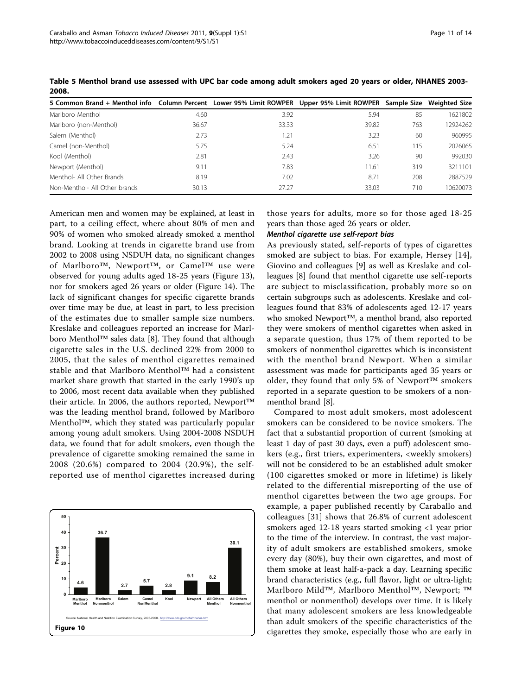| 5 Common Brand + Menthol info Column Percent Lower 95% Limit ROWPER Upper 95% Limit ROWPER Sample Size Weighted Size |       |       |       |     |          |
|----------------------------------------------------------------------------------------------------------------------|-------|-------|-------|-----|----------|
| Marlboro Menthol                                                                                                     | 4.60  | 3.92  | 5.94  | 85  | 1621802  |
| Marlboro (non-Menthol)                                                                                               | 36.67 | 33.33 | 39.82 | 763 | 12924262 |
| Salem (Menthol)                                                                                                      | 2.73  | 1.21  | 3.23  | 60  | 960995   |
| Camel (non-Menthol)                                                                                                  | 5.75  | 5.24  | 6.51  | 115 | 2026065  |
| Kool (Menthol)                                                                                                       | 2.81  | 2.43  | 3.26  | 90  | 992030   |
| Newport (Menthol)                                                                                                    | 9.11  | 7.83  | 11.61 | 319 | 3211101  |
| Menthol- All Other Brands                                                                                            | 8.19  | 7.02  | 8.71  | 208 | 2887529  |
| Non-Menthol- All Other brands                                                                                        | 30.13 | 27.27 | 33.03 | 710 | 10620073 |

<span id="page-10-0"></span>Table 5 Menthol brand use assessed with UPC bar code among adult smokers aged 20 years or older, NHANES 2003- 2008.

American men and women may be explained, at least in part, to a ceiling effect, where about 80% of men and 90% of women who smoked already smoked a menthol brand. Looking at trends in cigarette brand use from 2002 to 2008 using NSDUH data, no significant changes of Marlboro™, Newport™, or Camel™ use were observed for young adults aged 18-25 years (Figure [13](#page-12-0)), nor for smokers aged 26 years or older (Figure [14](#page-12-0)). The lack of significant changes for specific cigarette brands over time may be due, at least in part, to less precision of the estimates due to smaller sample size numbers. Kreslake and colleagues reported an increase for Marlboro Menthol™ sales data [[8\]](#page-13-0). They found that although cigarette sales in the U.S. declined 22% from 2000 to 2005, that the sales of menthol cigarettes remained stable and that Marlboro Menthol™ had a consistent market share growth that started in the early 1990's up to 2006, most recent data available when they published their article. In 2006, the authors reported, Newport™ was the leading menthol brand, followed by Marlboro Menthol™, which they stated was particularly popular among young adult smokers. Using 2004-2008 NSDUH data, we found that for adult smokers, even though the prevalence of cigarette smoking remained the same in 2008 (20.6%) compared to 2004 (20.9%), the selfreported use of menthol cigarettes increased during



those years for adults, more so for those aged 18-25 years than those aged 26 years or older.

# Menthol cigarette use self-report bias

As previously stated, self-reports of types of cigarettes smoked are subject to bias. For example, Hersey [[14](#page-13-0)], Giovino and colleagues [\[9](#page-13-0)] as well as Kreslake and colleagues [[8\]](#page-13-0) found that menthol cigarette use self-reports are subject to misclassification, probably more so on certain subgroups such as adolescents. Kreslake and colleagues found that 83% of adolescents aged 12-17 years who smoked Newport™, a menthol brand, also reported they were smokers of menthol cigarettes when asked in a separate question, thus 17% of them reported to be smokers of nonmenthol cigarettes which is inconsistent with the menthol brand Newport. When a similar assessment was made for participants aged 35 years or older, they found that only 5% of Newport™ smokers reported in a separate question to be smokers of a nonmenthol brand [\[8\]](#page-13-0).

Compared to most adult smokers, most adolescent smokers can be considered to be novice smokers. The fact that a substantial proportion of current (smoking at least 1 day of past 30 days, even a puff) adolescent smokers (e.g., first triers, experimenters, <weekly smokers) will not be considered to be an established adult smoker (100 cigarettes smoked or more in lifetime) is likely related to the differential misreporting of the use of menthol cigarettes between the two age groups. For example, a paper published recently by Caraballo and colleagues [[31\]](#page-13-0) shows that 26.8% of current adolescent smokers aged 12-18 years started smoking <1 year prior to the time of the interview. In contrast, the vast majority of adult smokers are established smokers, smoke every day (80%), buy their own cigarettes, and most of them smoke at least half-a-pack a day. Learning specific brand characteristics (e.g., full flavor, light or ultra-light; Marlboro Mild™, Marlboro Menthol™, Newport; ™ menthol or nonmenthol) develops over time. It is likely that many adolescent smokers are less knowledgeable than adult smokers of the specific characteristics of the cigarettes they smoke, especially those who are early in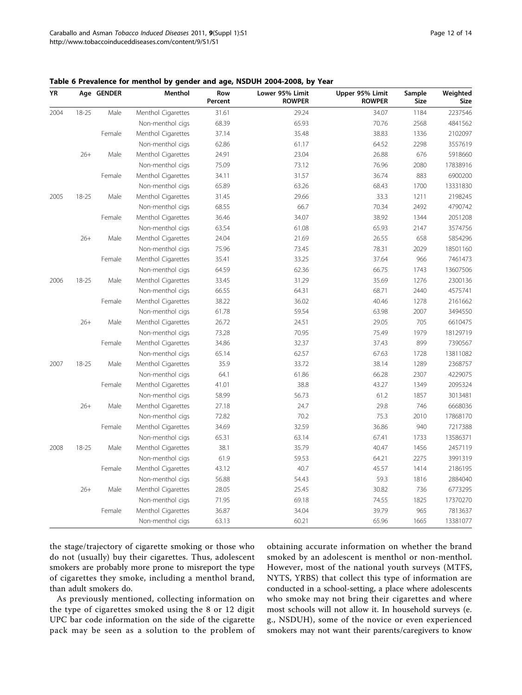| YR   |           | Age GENDER | Menthol            | Row<br>Percent | Lower 95% Limit<br><b>ROWPER</b> | Upper 95% Limit<br><b>ROWPER</b> | Sample<br>Size | Weighted<br><b>Size</b> |
|------|-----------|------------|--------------------|----------------|----------------------------------|----------------------------------|----------------|-------------------------|
| 2004 | 18-25     | Male       | Menthol Cigarettes | 31.61          | 29.24                            | 34.07                            | 1184           | 2237546                 |
|      |           |            | Non-menthol cigs   | 68.39          | 65.93                            | 70.76                            | 2568           | 4841562                 |
|      |           | Female     | Menthol Cigarettes | 37.14          | 35.48                            | 38.83                            | 1336           | 2102097                 |
|      |           |            | Non-menthol cigs   | 62.86          | 61.17                            | 64.52                            | 2298           | 3557619                 |
|      | $26+$     | Male       | Menthol Cigarettes | 24.91          | 23.04                            | 26.88                            | 676            | 5918660                 |
|      |           |            | Non-menthol cigs   | 75.09          | 73.12                            | 76.96                            | 2080           | 17838916                |
|      |           | Female     | Menthol Cigarettes | 34.11          | 31.57                            | 36.74                            | 883            | 6900200                 |
|      |           |            | Non-menthol cigs   | 65.89          | 63.26                            | 68.43                            | 1700           | 13331830                |
| 2005 | 18-25     | Male       | Menthol Cigarettes | 31.45          | 29.66                            | 33.3                             | 1211           | 2198245                 |
|      |           |            | Non-menthol cigs   | 68.55          | 66.7                             | 70.34                            | 2492           | 4790742                 |
|      |           | Female     | Menthol Cigarettes | 36.46          | 34.07                            | 38.92                            | 1344           | 2051208                 |
|      |           |            | Non-menthol cigs   | 63.54          | 61.08                            | 65.93                            | 2147           | 3574756                 |
|      | $26+$     | Male       | Menthol Cigarettes | 24.04          | 21.69                            | 26.55                            | 658            | 5854296                 |
|      |           |            | Non-menthol cigs   | 75.96          | 73.45                            | 78.31                            | 2029           | 18501160                |
|      |           | Female     | Menthol Cigarettes | 35.41          | 33.25                            | 37.64                            | 966            | 7461473                 |
|      |           |            | Non-menthol cigs   | 64.59          | 62.36                            | 66.75                            | 1743           | 13607506                |
| 2006 | 18-25     | Male       | Menthol Cigarettes | 33.45          | 31.29                            | 35.69                            | 1276           | 2300136                 |
|      |           |            | Non-menthol cigs   | 66.55          | 64.31                            | 68.71                            | 2440           | 4575741                 |
|      |           | Female     | Menthol Cigarettes | 38.22          | 36.02                            | 40.46                            | 1278           | 2161662                 |
|      |           |            | Non-menthol cigs   | 61.78          | 59.54                            | 63.98                            | 2007           | 3494550                 |
|      | $26+$     | Male       | Menthol Cigarettes | 26.72          | 24.51                            | 29.05                            | 705            | 6610475                 |
|      |           |            | Non-menthol cigs   | 73.28          | 70.95                            | 75.49                            | 1979           | 18129719                |
|      |           | Female     | Menthol Cigarettes | 34.86          | 32.37                            | 37.43                            | 899            | 7390567                 |
|      |           |            | Non-menthol cigs   | 65.14          | 62.57                            | 67.63                            | 1728           | 13811082                |
| 2007 | 18-25     | Male       | Menthol Cigarettes | 35.9           | 33.72                            | 38.14                            | 1289           | 2368757                 |
|      |           |            | Non-menthol cigs   | 64.1           | 61.86                            | 66.28                            | 2307           | 4229075                 |
|      |           | Female     | Menthol Cigarettes | 41.01          | 38.8                             | 43.27                            | 1349           | 2095324                 |
|      |           |            | Non-menthol cigs   | 58.99          | 56.73                            | 61.2                             | 1857           | 3013481                 |
|      | $26+$     | Male       | Menthol Cigarettes | 27.18          | 24.7                             | 29.8                             | 746            | 6668036                 |
|      |           |            | Non-menthol cigs   | 72.82          | 70.2                             | 75.3                             | 2010           | 17868170                |
|      |           | Female     | Menthol Cigarettes | 34.69          | 32.59                            | 36.86                            | 940            | 7217388                 |
|      |           |            | Non-menthol cigs   | 65.31          | 63.14                            | 67.41                            | 1733           | 13586371                |
| 2008 | $18 - 25$ | Male       | Menthol Cigarettes | 38.1           | 35.79                            | 40.47                            | 1456           | 2457119                 |
|      |           |            | Non-menthol cigs   | 61.9           | 59.53                            | 64.21                            | 2275           | 3991319                 |
|      |           | Female     | Menthol Cigarettes | 43.12          | 40.7                             | 45.57                            | 1414           | 2186195                 |
|      |           |            | Non-menthol cigs   | 56.88          | 54.43                            | 59.3                             | 1816           | 2884040                 |
|      | $26+$     | Male       | Menthol Cigarettes | 28.05          | 25.45                            | 30.82                            | 736            | 6773295                 |
|      |           |            | Non-menthol cigs   | 71.95          | 69.18                            | 74.55                            | 1825           | 17370270                |
|      |           | Female     | Menthol Cigarettes | 36.87          | 34.04                            | 39.79                            | 965            | 7813637                 |
|      |           |            | Non-menthol cigs   | 63.13          | 60.21                            | 65.96                            | 1665           | 13381077                |

Table 6 Prevalence for menthol by gender and age, NSDUH 2004-2008, by Year

the stage/trajectory of cigarette smoking or those who do not (usually) buy their cigarettes. Thus, adolescent smokers are probably more prone to misreport the type of cigarettes they smoke, including a menthol brand, than adult smokers do.

As previously mentioned, collecting information on the type of cigarettes smoked using the 8 or 12 digit UPC bar code information on the side of the cigarette pack may be seen as a solution to the problem of obtaining accurate information on whether the brand smoked by an adolescent is menthol or non-menthol. However, most of the national youth surveys (MTFS, NYTS, YRBS) that collect this type of information are conducted in a school-setting, a place where adolescents who smoke may not bring their cigarettes and where most schools will not allow it. In household surveys (e. g., NSDUH), some of the novice or even experienced smokers may not want their parents/caregivers to know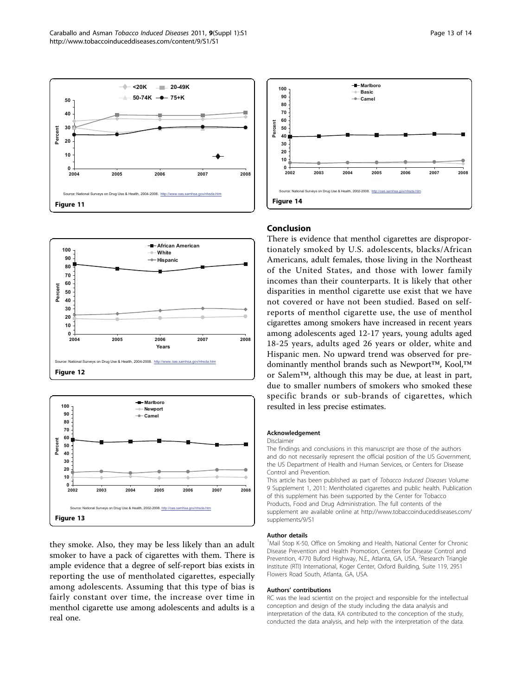<span id="page-12-0"></span>





they smoke. Also, they may be less likely than an adult smoker to have a pack of cigarettes with them. There is ample evidence that a degree of self-report bias exists in reporting the use of mentholated cigarettes, especially among adolescents. Assuming that this type of bias is fairly constant over time, the increase over time in menthol cigarette use among adolescents and adults is a real one.



# Conclusion

There is evidence that menthol cigarettes are disproportionately smoked by U.S. adolescents, blacks/African Americans, adult females, those living in the Northeast of the United States, and those with lower family incomes than their counterparts. It is likely that other disparities in menthol cigarette use exist that we have not covered or have not been studied. Based on selfreports of menthol cigarette use, the use of menthol cigarettes among smokers have increased in recent years among adolescents aged 12-17 years, young adults aged 18-25 years, adults aged 26 years or older, white and Hispanic men. No upward trend was observed for predominantly menthol brands such as Newport™, Kool,™ or Salem™, although this may be due, at least in part, due to smaller numbers of smokers who smoked these specific brands or sub-brands of cigarettes, which resulted in less precise estimates.

#### Acknowledgement

#### Disclaimer

The findings and conclusions in this manuscript are those of the authors and do not necessarily represent the official position of the US Government, the US Department of Health and Human Services, or Centers for Disease Control and Prevention.

This article has been published as part of Tobacco Induced Diseases Volume 9 Supplement 1, 2011: Mentholated cigarettes and public health. Publication of this supplement has been supported by the Center for Tobacco Products, Food and Drug Administration. The full contents of the supplement are available online at [http://www.tobaccoinduceddiseases.com/](http://www.tobaccoinduceddiseases.com/supplements/9/S1) [supplements/9/S1](http://www.tobaccoinduceddiseases.com/supplements/9/S1)

#### Author details

<sup>1</sup>Mail Stop K-50, Office on Smoking and Health, National Center for Chronic Disease Prevention and Health Promotion, Centers for Disease Control and Prevention, 4770 Buford Highway, N.E., Atlanta, GA, USA. <sup>2</sup>Research Triangle Institute (RTI) International, Koger Center, Oxford Building, Suite 119, 2951 Flowers Road South, Atlanta, GA, USA.

#### Authors' contributions

RC was the lead scientist on the project and responsible for the intellectual conception and design of the study including the data analysis and interpretation of the data. KA contributed to the conception of the study, conducted the data analysis, and help with the interpretation of the data.